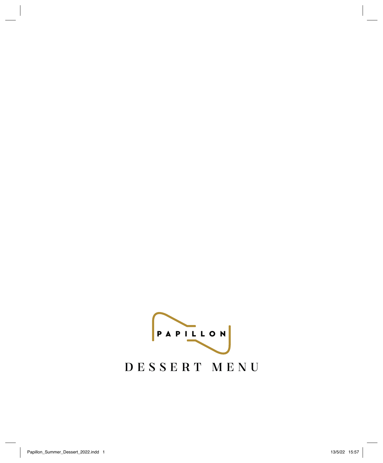PAPILLON DESSERT MENU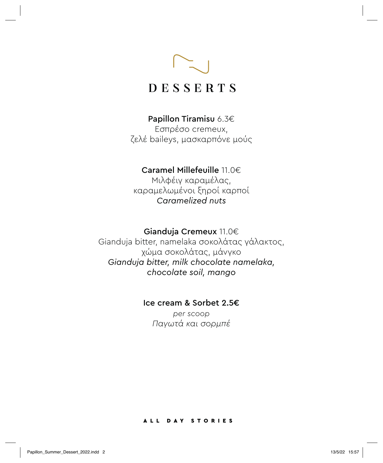

## Papillon Tiramisu 6.3€

Eσπρέσο cremeux, ζελέ baileys, μασκαρπόνε μούς

## Caramel Millefeuille 11.0€

Μιλφέιγ καραμέλας, καραμελωμένοι ξηροί καρποί *Caramelized nuts*

## Gianduja Cremeux 11.0€

Gianduja bitter, namelaka σοκολάτας γάλακτος, χώμα σοκολάτας, μάνγκο *Gianduja bitter, milk chocolate namelaka, chocolate soil, mango*

## Ice cream & Sorbet 2.5€

*per scoop Παγωτά και σορμπέ* 

#### ALL DAY STORIES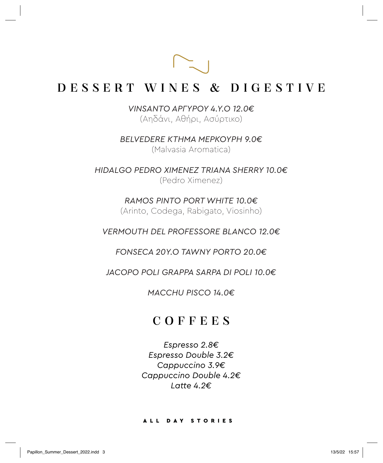# DESSERT WINES & DIGESTIVE

*VINSANTO AΡΓΥΡΟΥ 4.Y.O 12.0€* (Αηδάνι, Αθήρι, Ασύρτικο)

*BELVEDERE ΚΤΉΜΑ ΜΕΡΚΟΥΡΗ 9.0€* (Μalvasia Αromatica)

*HIDALGO PEDRO XIMENEZ TRIANA SHERRY 10.0€*  (Pedro Ximenez)

> *RAMOS PINTO PORT WHITE 10.0€* (Arinto, Codega, Rabigato, Viosinho)

*VERMOUTH DEL PROFESSORE BLANCO 12.0€*

*FONSECA 20Y.O TAWNY PORTO 20.0€*

*JACOPO POLI GRAPPA SARPA DI POLI 10.0€*

*MACCHU PISCO 14.0€*

## COFFEES

*Espresso 2.8€ Espresso Double 3.2€ Cappuccino 3.9€ Cappuccino Double 4.2€ Latte 4.2€*

#### ALL DAY STORIES